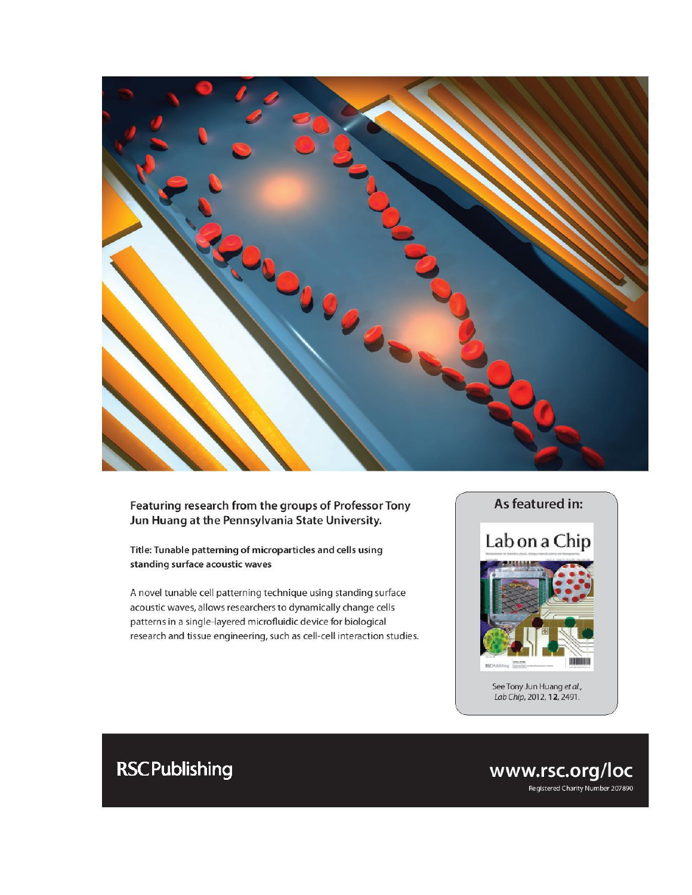

#### Featuring research from the groups of Professor Tony Jun Huang at the Pennsylvania State University.

Title: Tunable patterning of microparticles and cells using standing surface acoustic waves

A novel tunable cell patterning technique using standing surface acoustic waves, allows researchers to dynamically change cells patterns in a single-layered microfluidic device for biological research and tissue engineering, such as cell-cell interaction studies.



Lab Chip, 2012, 12, 2491.

## **RSC Publishing**

www.rsc.org/loc Registered Charity Number 207890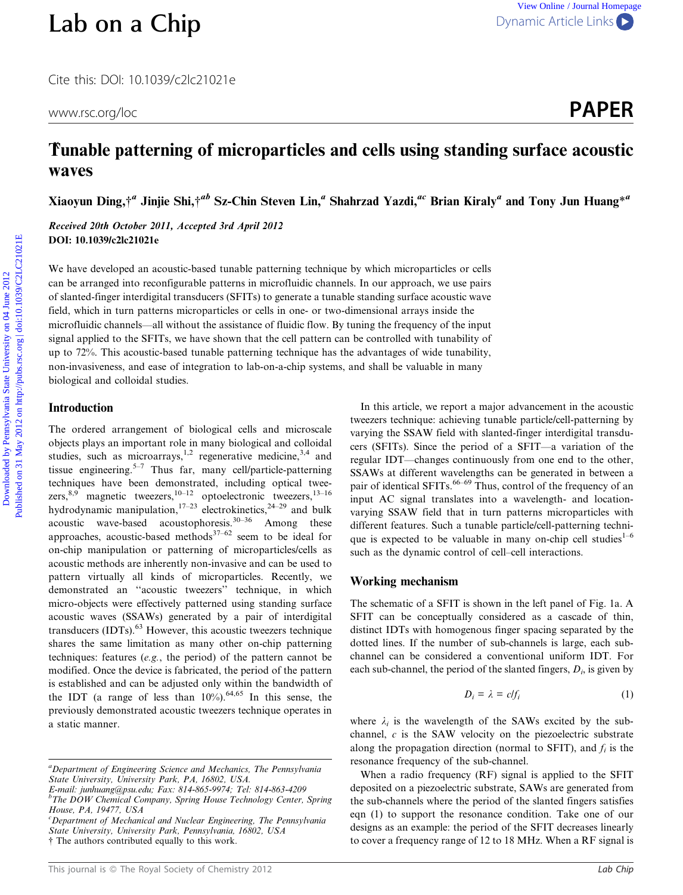# [Lab on a Chip](http://dx.doi.org/10.1039/c2lc21021e) [Dynamic Article Links](http://dx.doi.org/10.1039/c2lc21021e)

www.rsc.org/loc **PAPER** 

### Tunable patterning of microparticles and cells using standing surface acoustic waves

Xiaoyun Ding,<sup>†</sup><sup>a</sup> Jinjie Shi,†<sup>ab</sup> Sz-Chin Steven Lin,<sup>a</sup> Shahrzad Yazdi,<sup>ac</sup> Brian Kiraly<sup>a</sup> and Tony Jun Huang<sup>\*a</sup>

Received 20th October 2011, Accepted 3rd April 2012 DOI: 10.1039/c2lc21021e

We have developed an acoustic-based tunable patterning technique by which microparticles or cells can be arranged into reconfigurable patterns in microfluidic channels. In our approach, we use pairs of slanted-finger interdigital transducers (SFITs) to generate a tunable standing surface acoustic wave field, which in turn patterns microparticles or cells in one- or two-dimensional arrays inside the microfluidic channels—all without the assistance of fluidic flow. By tuning the frequency of the input signal applied to the SFITs, we have shown that the cell pattern can be controlled with tunability of up to 72%. This acoustic-based tunable patterning technique has the advantages of wide tunability, non-invasiveness, and ease of integration to lab-on-a-chip systems, and shall be valuable in many biological and colloidal studies. **Lab on a Chip**<br>
Cite tris DOI: 10.1039/c2/c21021e<br>
www.scorg/loc **PAPER**<br> **Tunable patterning of microparticles and cells using standing surface acoustic**<br> **Waves**<br> **Now Ding.<sup>44</sup> Junije Shi,<sup>24b</sup> Sr-Chin Steven Lin,<sup>2</sup>** 

#### Introduction

The ordered arrangement of biological cells and microscale objects plays an important role in many biological and colloidal studies, such as microarrays,<sup>1,2</sup> regenerative medicine,<sup>3,4</sup> and tissue engineering.<sup>5–7</sup> Thus far, many cell/particle-patterning techniques have been demonstrated, including optical tweezers,  $8,9$  magnetic tweezers,  $10-12$  optoelectronic tweezers,  $13-16$ hydrodynamic manipulation,  $17-23$  electrokinetics,  $24-29$  and bulk acoustic wave-based acoustophoresis. $30-36$  Among these approaches, acoustic-based methods $37-62$  seem to be ideal for on-chip manipulation or patterning of microparticles/cells as acoustic methods are inherently non-invasive and can be used to pattern virtually all kinds of microparticles. Recently, we demonstrated an ''acoustic tweezers'' technique, in which micro-objects were effectively patterned using standing surface acoustic waves (SSAWs) generated by a pair of interdigital transducers (IDTs).<sup>63</sup> However, this acoustic tweezers technique shares the same limitation as many other on-chip patterning techniques: features (e.g., the period) of the pattern cannot be modified. Once the device is fabricated, the period of the pattern is established and can be adjusted only within the bandwidth of the IDT (a range of less than  $10\%$ ).<sup>64,65</sup> In this sense, the previously demonstrated acoustic tweezers technique operates in a static manner.

In this article, we report a major advancement in the acoustic tweezers technique: achieving tunable particle/cell-patterning by varying the SSAW field with slanted-finger interdigital transducers (SFITs). Since the period of a SFIT—a variation of the regular IDT—changes continuously from one end to the other, SSAWs at different wavelengths can be generated in between a pair of identical SFITs.<sup>66-69</sup> Thus, control of the frequency of an input AC signal translates into a wavelength- and locationvarying SSAW field that in turn patterns microparticles with different features. Such a tunable particle/cell-patterning technique is expected to be valuable in many on-chip cell studies $1-6$ such as the dynamic control of cell–cell interactions.

#### Working mechanism

The schematic of a SFIT is shown in the left panel of Fig. 1a. A SFIT can be conceptually considered as a cascade of thin, distinct IDTs with homogenous finger spacing separated by the dotted lines. If the number of sub-channels is large, each subchannel can be considered a conventional uniform IDT. For each sub-channel, the period of the slanted fingers,  $D_i$ , is given by

$$
D_i = \lambda = c/f_i \tag{1}
$$

where  $\lambda_i$  is the wavelength of the SAWs excited by the subchannel, c is the SAW velocity on the piezoelectric substrate along the propagation direction (normal to SFIT), and  $f_i$  is the resonance frequency of the sub-channel.

When a radio frequency (RF) signal is applied to the SFIT deposited on a piezoelectric substrate, SAWs are generated from the sub-channels where the period of the slanted fingers satisfies eqn (1) to support the resonance condition. Take one of our designs as an example: the period of the SFIT decreases linearly to cover a frequency range of 12 to 18 MHz. When a RF signal is

<sup>&</sup>lt;sup>a</sup>Department of Engineering Science and Mechanics, The Pennsylvania State University, University Park, PA, 16802, USA.

E-mail: junhuang@psu.edu; Fax: 814-865-9974; Tel: 814-863-4209 b The DOW Chemical Company, Spring House Technology Center, Spring

House, PA, 19477, USA

<sup>&</sup>lt;sup>c</sup>Department of Mechanical and Nuclear Engineering, The Pennsylvania State University, University Park, Pennsylvania, 16802, USA { The authors contributed equally to this work.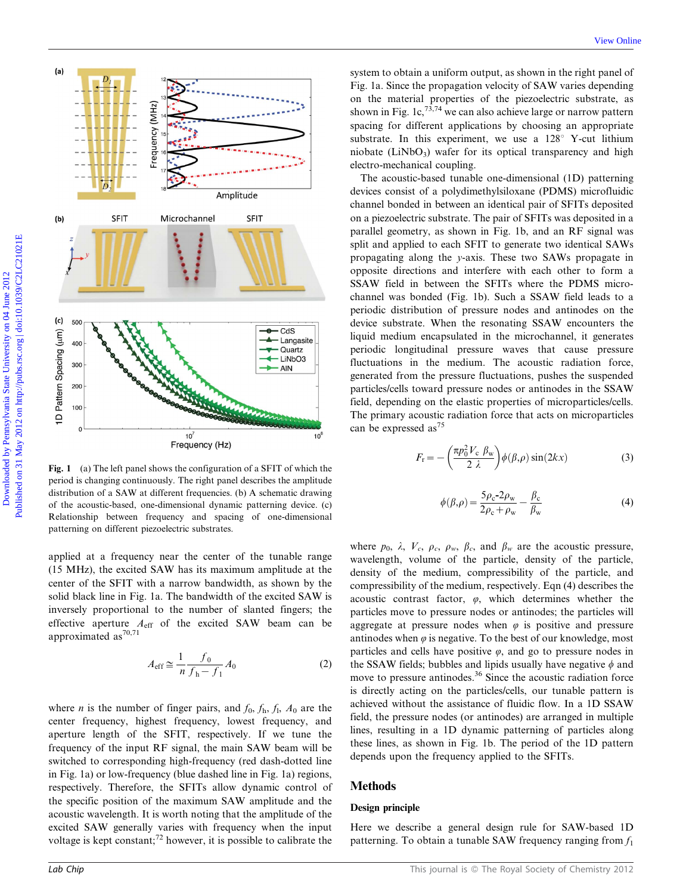



Fig. 1 (a) The left panel shows the configuration of a SFIT of which the period is changing continuously. The right panel describes the amplitude distribution of a SAW at different frequencies. (b) A schematic drawing of the acoustic-based, one-dimensional dynamic patterning device. (c) Relationship between frequency and spacing of one-dimensional patterning on different piezoelectric substrates.

applied at a frequency near the center of the tunable range (15 MHz), the excited SAW has its maximum amplitude at the center of the SFIT with a narrow bandwidth, as shown by the solid black line in Fig. 1a. The bandwidth of the excited SAW is inversely proportional to the number of slanted fingers; the effective aperture  $A_{\text{eff}}$  of the excited SAW beam can be approximated as<sup>70,71</sup>

$$
A_{\rm eff} \cong \frac{1}{n} \frac{f_0}{f_{\rm h} - f_1} A_0 \tag{2}
$$

where *n* is the number of finger pairs, and  $f_0$ ,  $f_h$ ,  $f_l$ ,  $A_0$  are the center frequency, highest frequency, lowest frequency, and aperture length of the SFIT, respectively. If we tune the frequency of the input RF signal, the main SAW beam will be switched to corresponding high-frequency (red dash-dotted line in Fig. 1a) or low-frequency (blue dashed line in Fig. 1a) regions, respectively. Therefore, the SFITs allow dynamic control of the specific position of the maximum SAW amplitude and the acoustic wavelength. It is worth noting that the amplitude of the excited SAW generally varies with frequency when the input voltage is kept constant;<sup>72</sup> however, it is possible to calibrate the system to obtain a uniform output, as shown in the right panel of Fig. 1a. Since the propagation velocity of SAW varies depending on the material properties of the piezoelectric substrate, as shown in Fig. 1c,  $73,74$  we can also achieve large or narrow pattern spacing for different applications by choosing an appropriate substrate. In this experiment, we use a  $128^\circ$  Y-cut lithium niobate (LiNbO<sub>3</sub>) wafer for its optical transparency and high electro-mechanical coupling.

The acoustic-based tunable one-dimensional (1D) patterning devices consist of a polydimethylsiloxane (PDMS) microfluidic channel bonded in between an identical pair of SFITs deposited on a piezoelectric substrate. The pair of SFITs was deposited in a parallel geometry, as shown in Fig. 1b, and an RF signal was split and applied to each SFIT to generate two identical SAWs propagating along the y-axis. These two SAWs propagate in opposite directions and interfere with each other to form a SSAW field in between the SFITs where the PDMS microchannel was bonded (Fig. 1b). Such a SSAW field leads to a periodic distribution of pressure nodes and antinodes on the device substrate. When the resonating SSAW encounters the liquid medium encapsulated in the microchannel, it generates periodic longitudinal pressure waves that cause pressure fluctuations in the medium. The acoustic radiation force, generated from the pressure fluctuations, pushes the suspended particles/cells toward pressure nodes or antinodes in the SSAW field, depending on the elastic properties of microparticles/cells. The primary acoustic radiation force that acts on microparticles can be expressed as<sup>75</sup>

$$
F_{\rm r} = -\left(\frac{\pi p_0^2 V_{\rm c} \beta_{\rm w}}{2 \lambda}\right) \phi(\beta, \rho) \sin(2kx) \tag{3}
$$

$$
\phi(\beta,\rho) = \frac{5\rho_{\rm c} - 2\rho_{\rm w}}{2\rho_{\rm c} + \rho_{\rm w}} - \frac{\beta_{\rm c}}{\beta_{\rm w}}\tag{4}
$$

where  $p_0$ ,  $\lambda$ ,  $V_c$ ,  $\rho_c$ ,  $\rho_w$ ,  $\beta_c$ , and  $\beta_w$  are the acoustic pressure, wavelength, volume of the particle, density of the particle, density of the medium, compressibility of the particle, and compressibility of the medium, respectively. Eqn (4) describes the acoustic contrast factor,  $\varphi$ , which determines whether the particles move to pressure nodes or antinodes; the particles will aggregate at pressure nodes when  $\varphi$  is positive and pressure antinodes when  $\varphi$  is negative. To the best of our knowledge, most particles and cells have positive  $\varphi$ , and go to pressure nodes in the SSAW fields; bubbles and lipids usually have negative  $\phi$  and move to pressure antinodes.<sup>36</sup> Since the acoustic radiation force is directly acting on the particles/cells, our tunable pattern is achieved without the assistance of fluidic flow. In a 1D SSAW field, the pressure nodes (or antinodes) are arranged in multiple lines, resulting in a 1D dynamic patterning of particles along these lines, as shown in Fig. 1b. The period of the 1D pattern depends upon the frequency applied to the SFITs.

#### Methods

#### Design principle

Here we describe a general design rule for SAW-based 1D patterning. To obtain a tunable SAW frequency ranging from  $f_1$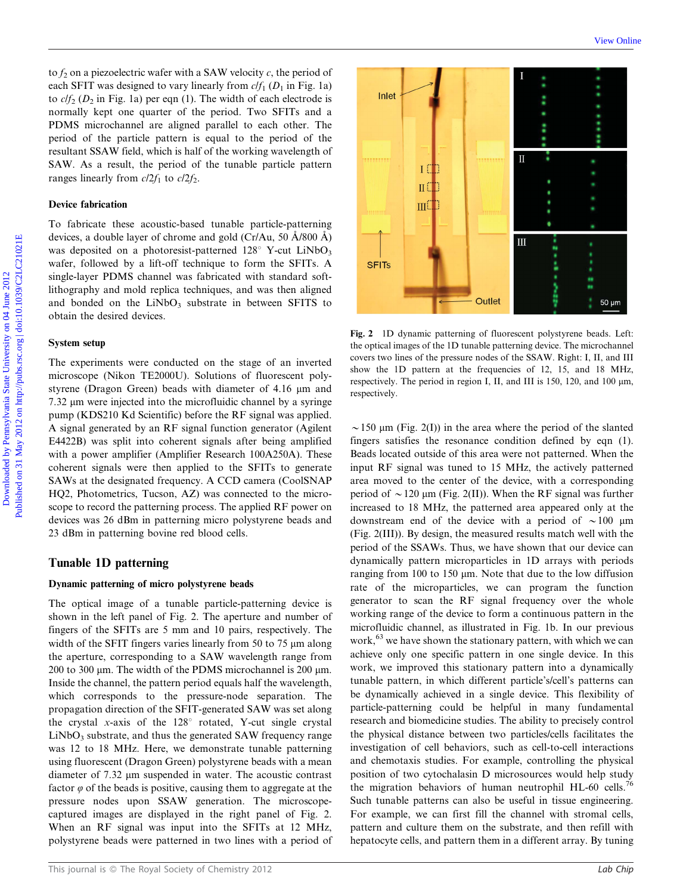to  $f_2$  on a piezoelectric wafer with a SAW velocity c, the period of each SFIT was designed to vary linearly from  $c/f_1$  ( $D_1$  in Fig. 1a) to  $c/f_2$  ( $D_2$  in Fig. 1a) per eqn (1). The width of each electrode is normally kept one quarter of the period. Two SFITs and a PDMS microchannel are aligned parallel to each other. The period of the particle pattern is equal to the period of the resultant SSAW field, which is half of the working wavelength of SAW. As a result, the period of the tunable particle pattern ranges linearly from  $c/2f_1$  to  $c/2f_2$ .

#### Device fabrication

To fabricate these acoustic-based tunable particle-patterning devices, a double layer of chrome and gold (Cr/Au, 50  $\AA$ /800  $\AA$ ) was deposited on a photoresist-patterned  $128^\circ$  Y-cut LiNbO<sub>3</sub> wafer, followed by a lift-off technique to form the SFITs. A single-layer PDMS channel was fabricated with standard softlithography and mold replica techniques, and was then aligned and bonded on the  $LiNbO<sub>3</sub>$  substrate in between SFITS to obtain the desired devices.

#### System setup

The experiments were conducted on the stage of an inverted microscope (Nikon TE2000U). Solutions of fluorescent polystyrene (Dragon Green) beads with diameter of  $4.16 \mu m$  and  $7.32 \mu m$  were injected into the microfluidic channel by a syringe pump (KDS210 Kd Scientific) before the RF signal was applied. A signal generated by an RF signal function generator (Agilent E4422B) was split into coherent signals after being amplified with a power amplifier (Amplifier Research 100A250A). These coherent signals were then applied to the SFITs to generate SAWs at the designated frequency. A CCD camera (CoolSNAP HQ2, Photometrics, Tucson, AZ) was connected to the microscope to record the patterning process. The applied RF power on devices was 26 dBm in patterning micro polystyrene beads and 23 dBm in patterning bovine red blood cells.

#### Tunable 1D patterning

#### Dynamic patterning of micro polystyrene beads

The optical image of a tunable particle-patterning device is shown in the left panel of Fig. 2. The aperture and number of fingers of the SFITs are 5 mm and 10 pairs, respectively. The width of the SFIT fingers varies linearly from 50 to 75  $\mu$ m along the aperture, corresponding to a SAW wavelength range from 200 to 300  $\mu$ m. The width of the PDMS microchannel is 200  $\mu$ m. Inside the channel, the pattern period equals half the wavelength, which corresponds to the pressure-node separation. The propagation direction of the SFIT-generated SAW was set along the crystal x-axis of the  $128^{\circ}$  rotated, Y-cut single crystal  $LiNbO<sub>3</sub>$  substrate, and thus the generated SAW frequency range was 12 to 18 MHz. Here, we demonstrate tunable patterning using fluorescent (Dragon Green) polystyrene beads with a mean diameter of 7.32 µm suspended in water. The acoustic contrast factor  $\varphi$  of the beads is positive, causing them to aggregate at the pressure nodes upon SSAW generation. The microscopecaptured images are displayed in the right panel of Fig. 2. When an RF signal was input into the SFITs at 12 MHz, polystyrene beads were patterned in two lines with a period of



Fig. 2 1D dynamic patterning of fluorescent polystyrene beads. Left: the optical images of the 1D tunable patterning device. The microchannel covers two lines of the pressure nodes of the SSAW. Right: I, II, and III show the 1D pattern at the frequencies of 12, 15, and 18 MHz, respectively. The period in region I, II, and III is 150, 120, and 100  $\mu$ m, respectively.

 $\sim$ 150 µm (Fig. 2(I)) in the area where the period of the slanted fingers satisfies the resonance condition defined by eqn (1). Beads located outside of this area were not patterned. When the input RF signal was tuned to 15 MHz, the actively patterned area moved to the center of the device, with a corresponding period of  $\sim$  120 µm (Fig. 2(II)). When the RF signal was further increased to 18 MHz, the patterned area appeared only at the downstream end of the device with a period of  $\sim 100 \mu m$ (Fig. 2(III)). By design, the measured results match well with the period of the SSAWs. Thus, we have shown that our device can dynamically pattern microparticles in 1D arrays with periods ranging from 100 to 150  $\mu$ m. Note that due to the low diffusion rate of the microparticles, we can program the function generator to scan the RF signal frequency over the whole working range of the device to form a continuous pattern in the microfluidic channel, as illustrated in Fig. 1b. In our previous work,<sup>63</sup> we have shown the stationary pattern, with which we can achieve only one specific pattern in one single device. In this work, we improved this stationary pattern into a dynamically tunable pattern, in which different particle's/cell's patterns can be dynamically achieved in a single device. This flexibility of particle-patterning could be helpful in many fundamental research and biomedicine studies. The ability to precisely control the physical distance between two particles/cells facilitates the investigation of cell behaviors, such as cell-to-cell interactions and chemotaxis studies. For example, controlling the physical position of two cytochalasin D microsources would help study the migration behaviors of human neutrophil HL-60 cells.<sup>76</sup> Such tunable patterns can also be useful in tissue engineering. For example, we can first fill the channel with stromal cells, pattern and culture them on the substrate, and then refill with hepatocyte cells, and pattern them in a different array. By tuning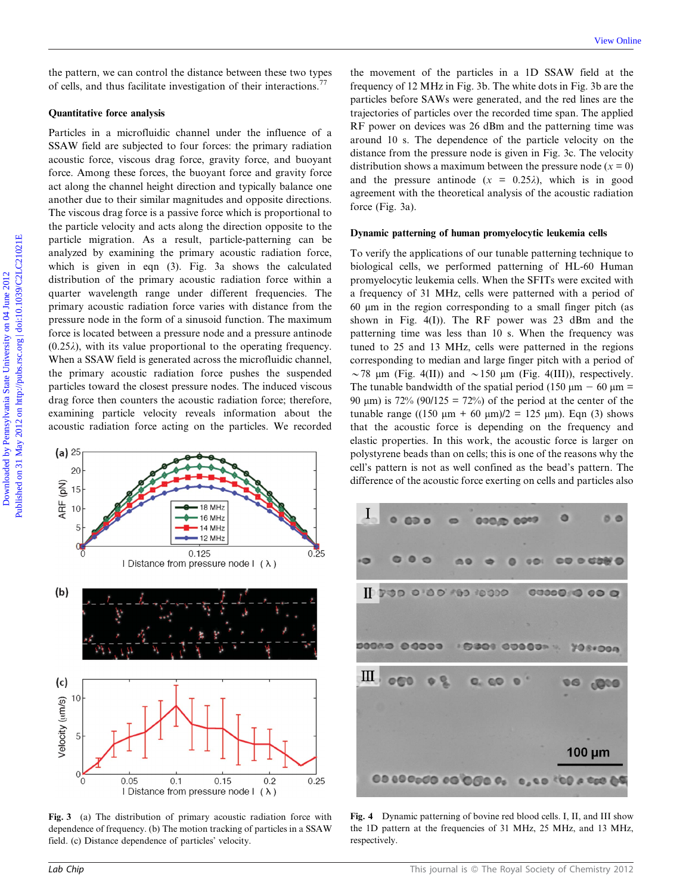#### Quantitative force analysis

Particles in a microfluidic channel under the influence of a SSAW field are subjected to four forces: the primary radiation acoustic force, viscous drag force, gravity force, and buoyant force. Among these forces, the buoyant force and gravity force act along the channel height direction and typically balance one another due to their similar magnitudes and opposite directions. The viscous drag force is a passive force which is proportional to the particle velocity and acts along the direction opposite to the particle migration. As a result, particle-patterning can be analyzed by examining the primary acoustic radiation force, which is given in eqn (3). Fig. 3a shows the calculated distribution of the primary acoustic radiation force within a quarter wavelength range under different frequencies. The primary acoustic radiation force varies with distance from the pressure node in the form of a sinusoid function. The maximum force is located between a pressure node and a pressure antinode  $(0.25\lambda)$ , with its value proportional to the operating frequency. When a SSAW field is generated across the microfluidic channel, the primary acoustic radiation force pushes the suspended particles toward the closest pressure nodes. The induced viscous drag force then counters the acoustic radiation force; therefore, examining particle velocity reveals information about the acoustic radiation force acting on the particles. We recorded Download the state of the state of the state University of the movement of the particles in a 1D SNAW include of collar and the state University of 12 MHz in Fig. 3b. The which dots in The englished by Pennsylvania State



Fig. 3 (a) The distribution of primary acoustic radiation force with dependence of frequency. (b) The motion tracking of particles in a SSAW field. (c) Distance dependence of particles' velocity.

the movement of the particles in a 1D SSAW field at the frequency of 12 MHz in Fig. 3b. The white dots in Fig. 3b are the particles before SAWs were generated, and the red lines are the trajectories of particles over the recorded time span. The applied RF power on devices was 26 dBm and the patterning time was around 10 s. The dependence of the particle velocity on the distance from the pressure node is given in Fig. 3c. The velocity distribution shows a maximum between the pressure node ( $x = 0$ ) and the pressure antinode  $(x = 0.25\lambda)$ , which is in good agreement with the theoretical analysis of the acoustic radiation force (Fig. 3a).

#### Dynamic patterning of human promyelocytic leukemia cells

To verify the applications of our tunable patterning technique to biological cells, we performed patterning of HL-60 Human promyelocytic leukemia cells. When the SFITs were excited with a frequency of 31 MHz, cells were patterned with a period of 60 mm in the region corresponding to a small finger pitch (as shown in Fig. 4(I)). The RF power was 23 dBm and the patterning time was less than 10 s. When the frequency was tuned to 25 and 13 MHz, cells were patterned in the regions corresponding to median and large finger pitch with a period of  $\sim$  78 µm (Fig. 4(II)) and  $\sim$  150 µm (Fig. 4(III)), respectively. The tunable bandwidth of the spatial period (150  $\mu$ m – 60  $\mu$ m = 90  $\mu$ m) is 72% (90/125 = 72%) of the period at the center of the tunable range ((150  $\mu$ m + 60  $\mu$ m)/2 = 125  $\mu$ m). Eqn (3) shows that the acoustic force is depending on the frequency and elastic properties. In this work, the acoustic force is larger on polystyrene beads than on cells; this is one of the reasons why the cell's pattern is not as well confined as the bead's pattern. The difference of the acoustic force exerting on cells and particles also



Fig. 4 Dynamic patterning of bovine red blood cells. I, II, and III show the 1D pattern at the frequencies of 31 MHz, 25 MHz, and 13 MHz, respectively.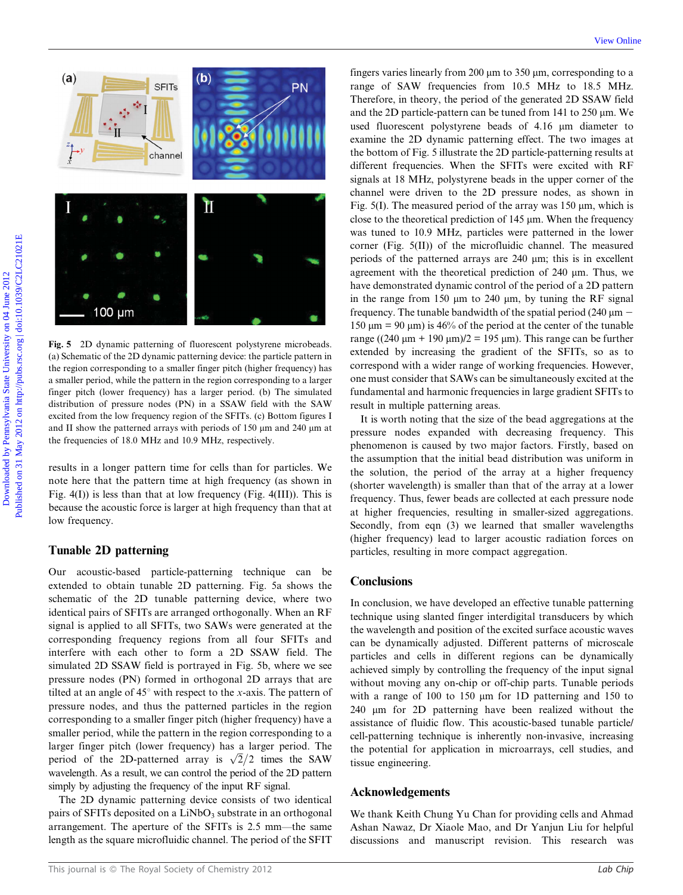

Fig. 5 2D dynamic patterning of fluorescent polystyrene microbeads. (a) Schematic of the 2D dynamic patterning device: the particle pattern in the region corresponding to a smaller finger pitch (higher frequency) has a smaller period, while the pattern in the region corresponding to a larger finger pitch (lower frequency) has a larger period. (b) The simulated distribution of pressure nodes (PN) in a SSAW field with the SAW excited from the low frequency region of the SFITs. (c) Bottom figures I and II show the patterned arrays with periods of  $150 \mu m$  and  $240 \mu m$  at the frequencies of 18.0 MHz and 10.9 MHz, respectively.

results in a longer pattern time for cells than for particles. We note here that the pattern time at high frequency (as shown in Fig.  $4(I)$ ) is less than that at low frequency (Fig.  $4(III)$ ). This is because the acoustic force is larger at high frequency than that at low frequency.

#### Tunable 2D patterning

Our acoustic-based particle-patterning technique can be extended to obtain tunable 2D patterning. Fig. 5a shows the schematic of the 2D tunable patterning device, where two identical pairs of SFITs are arranged orthogonally. When an RF signal is applied to all SFITs, two SAWs were generated at the corresponding frequency regions from all four SFITs and interfere with each other to form a 2D SSAW field. The simulated 2D SSAW field is portrayed in Fig. 5b, where we see pressure nodes (PN) formed in orthogonal 2D arrays that are tilted at an angle of  $45^\circ$  with respect to the x-axis. The pattern of pressure nodes, and thus the patterned particles in the region corresponding to a smaller finger pitch (higher frequency) have a smaller period, while the pattern in the region corresponding to a larger finger pitch (lower frequency) has a larger period. The period of the 2D-patterned array is  $\sqrt{2}/2$  times the SAW wavelength. As a result, we can control the period of the 2D pattern simply by adjusting the frequency of the input RF signal.

The 2D dynamic patterning device consists of two identical pairs of SFITs deposited on a LiNbO<sub>3</sub> substrate in an orthogonal arrangement. The aperture of the SFITs is 2.5 mm—the same length as the square microfluidic channel. The period of the SFIT

fingers varies linearly from 200  $\mu$ m to 350  $\mu$ m, corresponding to a range of SAW frequencies from 10.5 MHz to 18.5 MHz. Therefore, in theory, the period of the generated 2D SSAW field and the 2D particle-pattern can be tuned from  $141$  to  $250 \mu m$ . We used fluorescent polystyrene beads of 4.16  $\mu$ m diameter to examine the 2D dynamic patterning effect. The two images at the bottom of Fig. 5 illustrate the 2D particle-patterning results at different frequencies. When the SFITs were excited with RF signals at 18 MHz, polystyrene beads in the upper corner of the channel were driven to the 2D pressure nodes, as shown in Fig.  $5(I)$ . The measured period of the array was 150  $\mu$ m, which is close to the theoretical prediction of  $145 \mu m$ . When the frequency was tuned to 10.9 MHz, particles were patterned in the lower corner (Fig. 5(II)) of the microfluidic channel. The measured periods of the patterned arrays are 240 mm; this is in excellent agreement with the theoretical prediction of 240 µm. Thus, we have demonstrated dynamic control of the period of a 2D pattern in the range from 150  $\mu$ m to 240  $\mu$ m, by tuning the RF signal frequency. The tunable bandwidth of the spatial period (240  $\mu$ m – 150  $\mu$ m = 90  $\mu$ m) is 46% of the period at the center of the tunable range ((240  $\mu$ m + 190  $\mu$ m)/2 = 195  $\mu$ m). This range can be further extended by increasing the gradient of the SFITs, so as to correspond with a wider range of working frequencies. However, one must consider that SAWs can be simultaneously excited at the fundamental and harmonic frequencies in large gradient SFITs to result in multiple patterning areas. **EXAMPLE STATE STATE STATE STATE STATE STATE STATE STATE STATE STATE STATE STATE STATE STATE STATE STATE STATE STATE STATE STATE STATE STATE STATE STATE STATE STATE STATE STATE STATE STATE STATE STATE STATE STATE STATE ST** 

It is worth noting that the size of the bead aggregations at the pressure nodes expanded with decreasing frequency. This phenomenon is caused by two major factors. Firstly, based on the assumption that the initial bead distribution was uniform in the solution, the period of the array at a higher frequency (shorter wavelength) is smaller than that of the array at a lower frequency. Thus, fewer beads are collected at each pressure node at higher frequencies, resulting in smaller-sized aggregations. Secondly, from eqn (3) we learned that smaller wavelengths (higher frequency) lead to larger acoustic radiation forces on particles, resulting in more compact aggregation.

#### **Conclusions**

In conclusion, we have developed an effective tunable patterning technique using slanted finger interdigital transducers by which the wavelength and position of the excited surface acoustic waves can be dynamically adjusted. Different patterns of microscale particles and cells in different regions can be dynamically achieved simply by controlling the frequency of the input signal without moving any on-chip or off-chip parts. Tunable periods with a range of 100 to 150  $\mu$ m for 1D patterning and 150 to 240 mm for 2D patterning have been realized without the assistance of fluidic flow. This acoustic-based tunable particle/ cell-patterning technique is inherently non-invasive, increasing the potential for application in microarrays, cell studies, and tissue engineering.

#### Acknowledgements

We thank Keith Chung Yu Chan for providing cells and Ahmad Ashan Nawaz, Dr Xiaole Mao, and Dr Yanjun Liu for helpful discussions and manuscript revision. This research was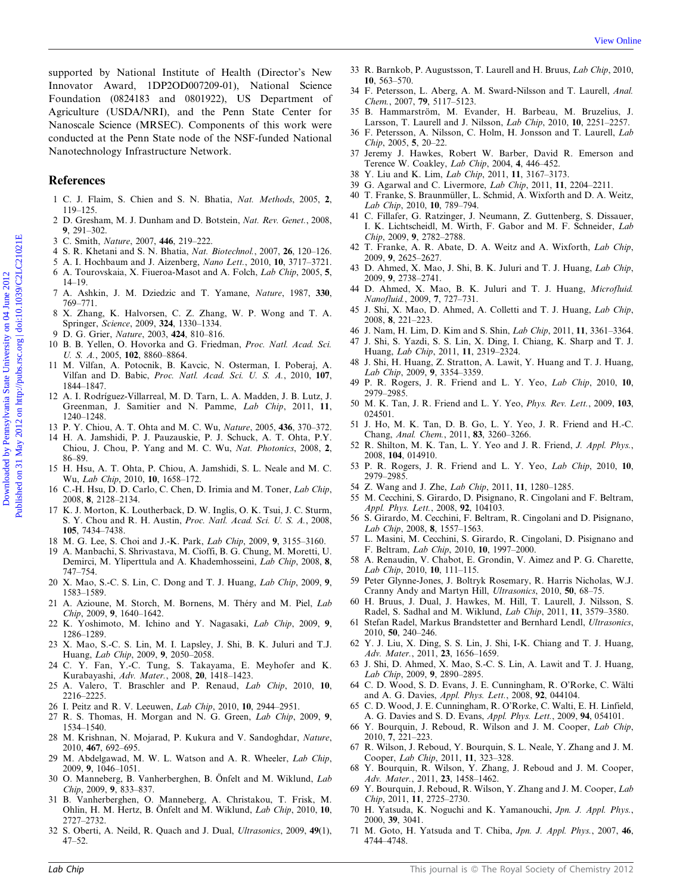supported by National Institute of Health (Director's New Innovator Award, 1DP2OD007209-01), National Science Foundation (0824183 and 0801922), US Department of Agriculture (USDA/NRI), and the Penn State Center for Nanoscale Science (MRSEC). Components of this work were conducted at the Penn State node of the NSF-funded National Nanotechnology Infrastructure Network. Supported by National Institute of Health Obtector's New <sup>35</sup>8 Marshav, P. Association Concelling Information (1970). University of the Presence, 1. Alternative China and Concelling Concelling Concelling Concelling Concel

#### References

- 1 C. J. Flaim, S. Chien and S. N. Bhatia, Nat. Methods, 2005, 2, 119–125.
- 2 D. Gresham, M. J. Dunham and D. Botstein, Nat. Rev. Genet., 2008, 9, 291–302.
- 3 C. Smith, Nature, 2007, 446, 219–222.
- 4 S. R. Khetani and S. N. Bhatia, Nat. Biotechnol., 2007, 26, 120–126.
- 5 A. I. Hochbaum and J. Aizenberg, Nano Lett., 2010, 10, 3717–3721.
- 6 A. Tourovskaia, X. Fiueroa-Masot and A. Folch, Lab Chip, 2005, 5, 14–19.
- 7 A. Ashkin, J. M. Dziedzic and T. Yamane, Nature, 1987, 330, 769–771.
- 8 X. Zhang, K. Halvorsen, C. Z. Zhang, W. P. Wong and T. A. Springer, Science, 2009, 324, 1330–1334.
- D. G. Grier, Nature, 2003, 424, 810-816.
- 10 B. B. Yellen, O. Hovorka and G. Friedman, Proc. Natl. Acad. Sci. U. S. A., 2005, 102, 8860–8864.
- 11 M. Vilfan, A. Potocnik, B. Kavcic, N. Osterman, I. Poberaj, A. Vilfan and D. Babic, Proc. Natl. Acad. Sci. U. S. A., 2010, 107, 1844–1847.
- 12 A. I. Rodríguez-Villarreal, M. D. Tarn, L. A. Madden, J. B. Lutz, J. Greenman, J. Samitier and N. Pamme, Lab Chip, 2011, 11, 1240–1248.
- 13 P. Y. Chiou, A. T. Ohta and M. C. Wu, Nature, 2005, 436, 370–372.
- 14 H. A. Jamshidi, P. J. Pauzauskie, P. J. Schuck, A. T. Ohta, P.Y. Chiou, J. Chou, P. Yang and M. C. Wu, Nat. Photonics, 2008, 2, 86–89.
- 15 H. Hsu, A. T. Ohta, P. Chiou, A. Jamshidi, S. L. Neale and M. C. Wu, Lab Chip, 2010, 10, 1658–172.
- 16 C.-H. Hsu, D. D. Carlo, C. Chen, D. Irimia and M. Toner, Lab Chip, 2008, 8, 2128–2134.
- 17 K. J. Morton, K. Loutherback, D. W. Inglis, O. K. Tsui, J. C. Sturm, S. Y. Chou and R. H. Austin, Proc. Natl. Acad. Sci. U. S. A., 2008, 105, 7434–7438.
- 18 M. G. Lee, S. Choi and J.-K. Park, Lab Chip, 2009, 9, 3155–3160.
- 19 A. Manbachi, S. Shrivastava, M. Cioffi, B. G. Chung, M. Moretti, U. Demirci, M. Yliperttula and A. Khademhosseini, Lab Chip, 2008, 8, 747–754.
- 20 X. Mao, S.-C. S. Lin, C. Dong and T. J. Huang, Lab Chip, 2009, 9, 1583–1589.
- 21 A. Azioune, M. Storch, M. Bornens, M. Théry and M. Piel, Lab Chip, 2009, 9, 1640–1642.
- 22 K. Yoshimoto, M. Ichino and Y. Nagasaki, Lab Chip, 2009, 9, 1286–1289.
- 23 X. Mao, S.-C. S. Lin, M. I. Lapsley, J. Shi, B. K. Juluri and T.J. Huang, Lab Chip, 2009, 9, 2050–2058.
- 24 C. Y. Fan, Y.-C. Tung, S. Takayama, E. Meyhofer and K. Kurabayashi, Adv. Mater., 2008, 20, 1418–1423.
- 25 A. Valero, T. Braschler and P. Renaud, Lab Chip, 2010, 10, 2216–2225.
- 26 I. Peitz and R. V. Leeuwen, Lab Chip, 2010, 10, 2944–2951.
- 27 R. S. Thomas, H. Morgan and N. G. Green, Lab Chip, 2009, 9, 1534–1540.
- 28 M. Krishnan, N. Mojarad, P. Kukura and V. Sandoghdar, Nature, 2010, 467, 692–695.
- 29 M. Abdelgawad, M. W. L. Watson and A. R. Wheeler, Lab Chip, 2009, 9, 1046–1051.
- 30 O. Manneberg, B. Vanherberghen, B. Önfelt and M. Wiklund, Lab Chip, 2009, 9, 833–837.
- 31 B. Vanherberghen, O. Manneberg, A. Christakou, T. Frisk, M. Ohlin, H. M. Hertz, B. Önfelt and M. Wiklund, Lab Chip, 2010, 10, 2727–2732.
- 32 S. Oberti, A. Neild, R. Quach and J. Dual, Ultrasonics, 2009, 49(1), 47–52.
- 33 R. Barnkob, P. Augustsson, T. Laurell and H. Bruus, Lab Chip, 2010, 10, 563–570.
- 34 F. Petersson, L. Aberg, A. M. Sward-Nilsson and T. Laurell, Anal. Chem., 2007, 79, 5117–5123.
- 35 B. Hammarström, M. Evander, H. Barbeau, M. Bruzelius, J. Larsson, T. Laurell and J. Nilsson, Lab Chip, 2010, 10, 2251–2257.
- 36 F. Petersson, A. Nilsson, C. Holm, H. Jonsson and T. Laurell, Lab Chip, 2005, 5, 20–22.
- 37 Jeremy J. Hawkes, Robert W. Barber, David R. Emerson and Terence W. Coakley, Lab Chip, 2004, 4, 446–452.
- 38 Y. Liu and K. Lim, Lab Chip, 2011, 11, 3167–3173.
- 39 G. Agarwal and C. Livermore, Lab Chip, 2011, 11, 2204–2211.
- 40 T. Franke, S. Braunmüller, L. Schmid, A. Wixforth and D. A. Weitz, Lab Chip, 2010, 10, 789–794.
- 41 C. Fillafer, G. Ratzinger, J. Neumann, Z. Guttenberg, S. Dissauer, I. K. Lichtscheidl, M. Wirth, F. Gabor and M. F. Schneider, Lab Chip, 2009, 9, 2782–2788.
- 42 T. Franke, A. R. Abate, D. A. Weitz and A. Wixforth, Lab Chip, 2009, 9, 2625–2627.
- 43 D. Ahmed, X. Mao, J. Shi, B. K. Juluri and T. J. Huang, Lab Chip, 2009, 9, 2738–2741.
- 44 D. Ahmed, X. Mao, B. K. Juluri and T. J. Huang, Microfluid. Nanofluid., 2009, 7, 727–731.
- 45 J. Shi, X. Mao, D. Ahmed, A. Colletti and T. J. Huang, Lab Chip, 2008, 8, 221–223.
- 46 J. Nam, H. Lim, D. Kim and S. Shin, Lab Chip, 2011, 11, 3361–3364.
- 47 J. Shi, S. Yazdi, S. S. Lin, X. Ding, I. Chiang, K. Sharp and T. J. Huang, Lab Chip, 2011, 11, 2319–2324.
- 48 J. Shi, H. Huang, Z. Stratton, A. Lawit, Y. Huang and T. J. Huang, Lab Chip, 2009, 9, 3354–3359.
- 49 P. R. Rogers, J. R. Friend and L. Y. Yeo, Lab Chip, 2010, 10, 2979–2985.
- 50 M. K. Tan, J. R. Friend and L. Y. Yeo, Phys. Rev. Lett., 2009, 103, 024501.
- 51 J. Ho, M. K. Tan, D. B. Go, L. Y. Yeo, J. R. Friend and H.-C. Chang, Anal. Chem., 2011, 83, 3260–3266.
- 52 R. Shilton, M. K. Tan, L. Y. Yeo and J. R. Friend, J. Appl. Phys., 2008, 104, 014910.
- 53 P. R. Rogers, J. R. Friend and L. Y. Yeo, Lab Chip, 2010, 10, 2979–2985.
- 54 Z. Wang and J. Zhe, Lab Chip, 2011, 11, 1280–1285.
- 55 M. Cecchini, S. Girardo, D. Pisignano, R. Cingolani and F. Beltram, Appl. Phys. Lett., 2008, 92, 104103.
- 56 S. Girardo, M. Cecchini, F. Beltram, R. Cingolani and D. Pisignano, Lab Chip, 2008, 8, 1557–1563.
- 57 L. Masini, M. Cecchini, S. Girardo, R. Cingolani, D. Pisignano and F. Beltram, Lab Chip, 2010, 10, 1997–2000.
- 58 A. Renaudin, V. Chabot, E. Grondin, V. Aimez and P. G. Charette, Lab Chip, 2010, 10, 111–115.
- 59 Peter Glynne-Jones, J. Boltryk Rosemary, R. Harris Nicholas, W.J. Cranny Andy and Martyn Hill, Ultrasonics, 2010, 50, 68–75.
- 60 H. Bruus, J. Dual, J. Hawkes, M. Hill, T. Laurell, J. Nilsson, S. Radel, S. Sadhal and M. Wiklund, Lab Chip, 2011, 11, 3579–3580.
- 61 Stefan Radel, Markus Brandstetter and Bernhard Lendl, Ultrasonics, 2010, 50, 240–246.
- 62 Y. J. Liu, X. Ding, S. S. Lin, J. Shi, I-K. Chiang and T. J. Huang, Adv. Mater., 2011, 23, 1656–1659.
- 63 J. Shi, D. Ahmed, X. Mao, S.-C. S. Lin, A. Lawit and T. J. Huang, Lab Chip, 2009, 9, 2890–2895.
- 64 C. D. Wood, S. D. Evans, J. E. Cunningham, R. O'Rorke, C. Wälti and A. G. Davies, Appl. Phys. Lett., 2008, 92, 044104.
- 65 C. D. Wood, J. E. Cunningham, R. O'Rorke, C. Walti, E. H. Linfield, A. G. Davies and S. D. Evans, Appl. Phys. Lett., 2009, 94, 054101.
- 66 Y. Bourquin, J. Reboud, R. Wilson and J. M. Cooper, Lab Chip, 2010, 7, 221–223.
- 67 R. Wilson, J. Reboud, Y. Bourquin, S. L. Neale, Y. Zhang and J. M. Cooper, Lab Chip, 2011, 11, 323–328.
- 68 Y. Bourquin, R. Wilson, Y. Zhang, J. Reboud and J. M. Cooper, Adv. Mater., 2011, 23, 1458–1462.
- 69 Y. Bourquin, J. Reboud, R. Wilson, Y. Zhang and J. M. Cooper, Lab Chip, 2011, 11, 2725–2730.
- 70 H. Yatsuda, K. Noguchi and K. Yamanouchi, Jpn. J. Appl. Phys., 2000, 39, 3041.
- 71 M. Goto, H. Yatsuda and T. Chiba, Jpn. J. Appl. Phys., 2007, 46, 4744–4748.